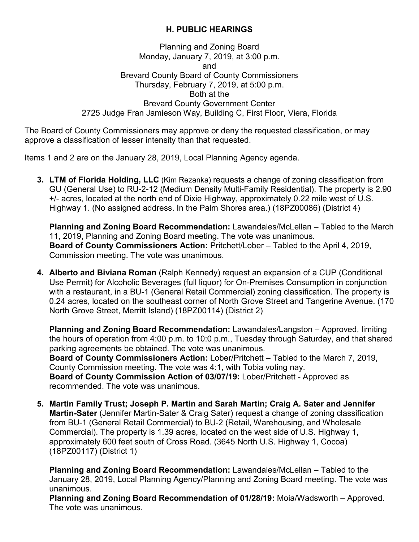## **H. PUBLIC HEARINGS**

Planning and Zoning Board Monday, January 7, 2019, at 3:00 p.m. and Brevard County Board of County Commissioners Thursday, February 7, 2019, at 5:00 p.m. Both at the Brevard County Government Center 2725 Judge Fran Jamieson Way, Building C, First Floor, Viera, Florida

The Board of County Commissioners may approve or deny the requested classification, or may approve a classification of lesser intensity than that requested.

Items 1 and 2 are on the January 28, 2019, Local Planning Agency agenda.

**3. LTM of Florida Holding, LLC** (Kim Rezanka) requests a change of zoning classification from GU (General Use) to RU-2-12 (Medium Density Multi-Family Residential). The property is 2.90 +/- acres, located at the north end of Dixie Highway, approximately 0.22 mile west of U.S. Highway 1. (No assigned address. In the Palm Shores area.) (18PZ00086) (District 4)

**Planning and Zoning Board Recommendation:** Lawandales/McLellan – Tabled to the March 11, 2019, Planning and Zoning Board meeting. The vote was unanimous. **Board of County Commissioners Action:** Pritchett/Lober – Tabled to the April 4, 2019, Commission meeting. The vote was unanimous.

**4. Alberto and Biviana Roman** (Ralph Kennedy) request an expansion of a CUP (Conditional Use Permit) for Alcoholic Beverages (full liquor) for On-Premises Consumption in conjunction with a restaurant, in a BU-1 (General Retail Commercial) zoning classification. The property is 0.24 acres, located on the southeast corner of North Grove Street and Tangerine Avenue. (170 North Grove Street, Merritt Island) (18PZ00114) (District 2)

**Planning and Zoning Board Recommendation:** Lawandales/Langston – Approved, limiting the hours of operation from 4:00 p.m. to 10:0 p.m., Tuesday through Saturday, and that shared parking agreements be obtained. The vote was unanimous.

**Board of County Commissioners Action:** Lober/Pritchett – Tabled to the March 7, 2019, County Commission meeting. The vote was 4:1, with Tobia voting nay.

**Board of County Commission Action of 03/07/19:** Lober/Pritchett - Approved as recommended. The vote was unanimous.

**5. Martin Family Trust; Joseph P. Martin and Sarah Martin; Craig A. Sater and Jennifer Martin-Sater** (Jennifer Martin-Sater & Craig Sater) request a change of zoning classification from BU-1 (General Retail Commercial) to BU-2 (Retail, Warehousing, and Wholesale Commercial). The property is 1.39 acres, located on the west side of U.S. Highway 1, approximately 600 feet south of Cross Road. (3645 North U.S. Highway 1, Cocoa) (18PZ00117) (District 1)

**Planning and Zoning Board Recommendation:** Lawandales/McLellan – Tabled to the January 28, 2019, Local Planning Agency/Planning and Zoning Board meeting. The vote was unanimous.

**Planning and Zoning Board Recommendation of 01/28/19:** Moia/Wadsworth – Approved. The vote was unanimous.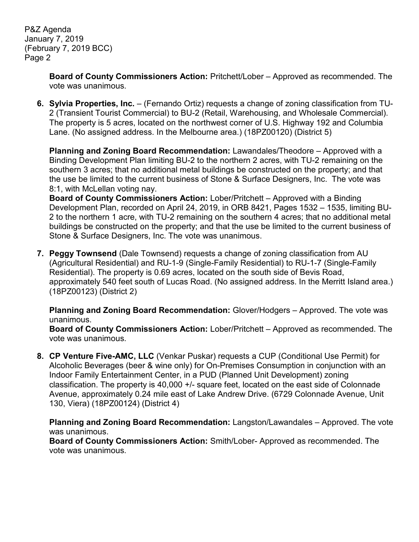P&Z Agenda January 7, 2019 (February 7, 2019 BCC) Page 2

> **Board of County Commissioners Action:** Pritchett/Lober – Approved as recommended. The vote was unanimous.

**6. Sylvia Properties, Inc.** – (Fernando Ortiz) requests a change of zoning classification from TU-2 (Transient Tourist Commercial) to BU-2 (Retail, Warehousing, and Wholesale Commercial). The property is 5 acres, located on the northwest corner of U.S. Highway 192 and Columbia Lane. (No assigned address. In the Melbourne area.) (18PZ00120) (District 5)

**Planning and Zoning Board Recommendation:** Lawandales/Theodore – Approved with a Binding Development Plan limiting BU-2 to the northern 2 acres, with TU-2 remaining on the southern 3 acres; that no additional metal buildings be constructed on the property; and that the use be limited to the current business of Stone & Surface Designers, Inc. The vote was 8:1, with McLellan voting nay.

**Board of County Commissioners Action:** Lober/Pritchett – Approved with a Binding Development Plan, recorded on April 24, 2019, in ORB 8421, Pages 1532 – 1535, limiting BU-2 to the northern 1 acre, with TU-2 remaining on the southern 4 acres; that no additional metal buildings be constructed on the property; and that the use be limited to the current business of Stone & Surface Designers, Inc. The vote was unanimous.

**7. Peggy Townsend** (Dale Townsend) requests a change of zoning classification from AU (Agricultural Residential) and RU-1-9 (Single-Family Residential) to RU-1-7 (Single-Family Residential). The property is 0.69 acres, located on the south side of Bevis Road, approximately 540 feet south of Lucas Road. (No assigned address. In the Merritt Island area.) (18PZ00123) (District 2)

**Planning and Zoning Board Recommendation:** Glover/Hodgers – Approved. The vote was unanimous.

**Board of County Commissioners Action:** Lober/Pritchett – Approved as recommended. The vote was unanimous.

**8. CP Venture Five-AMC, LLC** (Venkar Puskar) requests a CUP (Conditional Use Permit) for Alcoholic Beverages (beer & wine only) for On-Premises Consumption in conjunction with an Indoor Family Entertainment Center, in a PUD (Planned Unit Development) zoning classification. The property is 40,000 +/- square feet, located on the east side of Colonnade Avenue, approximately 0.24 mile east of Lake Andrew Drive. (6729 Colonnade Avenue, Unit 130, Viera) (18PZ00124) (District 4)

**Planning and Zoning Board Recommendation:** Langston/Lawandales – Approved. The vote was unanimous.

**Board of County Commissioners Action:** Smith/Lober- Approved as recommended. The vote was unanimous.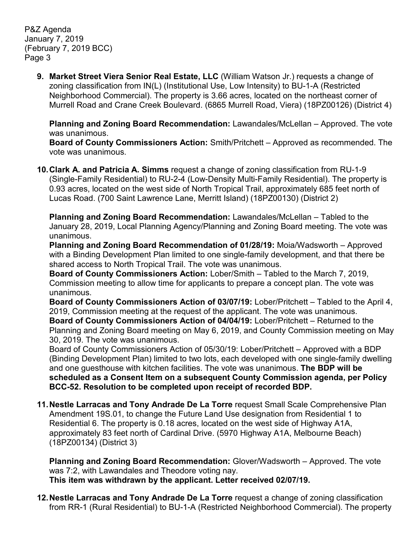P&Z Agenda January 7, 2019 (February 7, 2019 BCC) Page 3

> **9. Market Street Viera Senior Real Estate, LLC** (William Watson Jr.) requests a change of zoning classification from IN(L) (Institutional Use, Low Intensity) to BU-1-A (Restricted Neighborhood Commercial). The property is 3.66 acres, located on the northeast corner of Murrell Road and Crane Creek Boulevard. (6865 Murrell Road, Viera) (18PZ00126) (District 4)

**Planning and Zoning Board Recommendation:** Lawandales/McLellan – Approved. The vote was unanimous.

**Board of County Commissioners Action:** Smith/Pritchett – Approved as recommended. The vote was unanimous.

**10.Clark A. and Patricia A. Simms** request a change of zoning classification from RU-1-9 (Single-Family Residential) to RU-2-4 (Low-Density Multi-Family Residential). The property is 0.93 acres, located on the west side of North Tropical Trail, approximately 685 feet north of Lucas Road. (700 Saint Lawrence Lane, Merritt Island) (18PZ00130) (District 2)

**Planning and Zoning Board Recommendation:** Lawandales/McLellan – Tabled to the January 28, 2019, Local Planning Agency/Planning and Zoning Board meeting. The vote was unanimous.

**Planning and Zoning Board Recommendation of 01/28/19:** Moia/Wadsworth – Approved with a Binding Development Plan limited to one single-family development, and that there be shared access to North Tropical Trail. The vote was unanimous.

**Board of County Commissioners Action:** Lober/Smith – Tabled to the March 7, 2019, Commission meeting to allow time for applicants to prepare a concept plan. The vote was unanimous.

**Board of County Commissioners Action of 03/07/19:** Lober/Pritchett – Tabled to the April 4, 2019, Commission meeting at the request of the applicant. The vote was unanimous.

**Board of County Commissioners Action of 04/04/19:** Lober/Pritchett – Returned to the Planning and Zoning Board meeting on May 6, 2019, and County Commission meeting on May 30, 2019. The vote was unanimous.

Board of County Commissioners Action of 05/30/19: Lober/Pritchett – Approved with a BDP (Binding Development Plan) limited to two lots, each developed with one single-family dwelling and one guesthouse with kitchen facilities. The vote was unanimous. **The BDP will be scheduled as a Consent Item on a subsequent County Commission agenda, per Policy BCC-52. Resolution to be completed upon receipt of recorded BDP.**

**11.Nestle Larracas and Tony Andrade De La Torre** request Small Scale Comprehensive Plan Amendment 19S.01, to change the Future Land Use designation from Residential 1 to Residential 6. The property is 0.18 acres, located on the west side of Highway A1A, approximately 83 feet north of Cardinal Drive. (5970 Highway A1A, Melbourne Beach) (18PZ00134) (District 3)

**Planning and Zoning Board Recommendation:** Glover/Wadsworth – Approved. The vote was 7:2, with Lawandales and Theodore voting nay. **This item was withdrawn by the applicant. Letter received 02/07/19.**

**12.Nestle Larracas and Tony Andrade De La Torre** request a change of zoning classification from RR-1 (Rural Residential) to BU-1-A (Restricted Neighborhood Commercial). The property